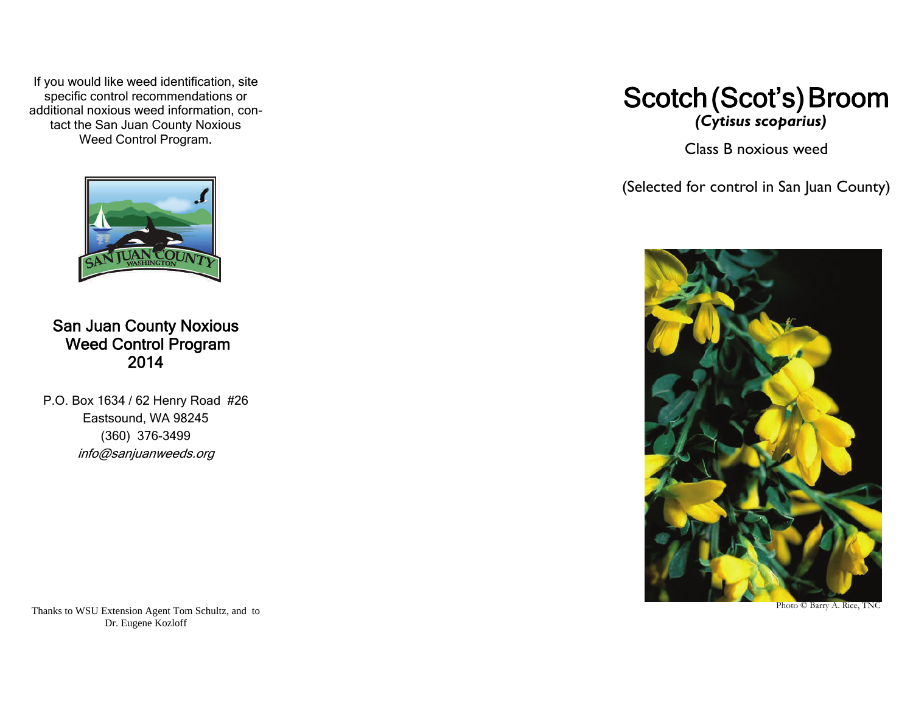If you would like weed identification, site specific control recommendations or additional noxious weed information, contact the San Juan County Noxious Weed Control Program.



San Juan County Noxious Weed Control Program 2014

P.O. Box 1634 / 62 Henry Road #26 Eastsound, WA 98245 (360) 376-3499 info@sanjuanweeds.org

Scotch (Scot's) Broom  *(Cytisus scoparius)* 

Class B noxious weed

(Selected for control in San Juan County)



Photo © Barry A. Rice, TNC

Thanks to WSU Extension Agent Tom Schultz, and to Dr. Eugene Kozloff